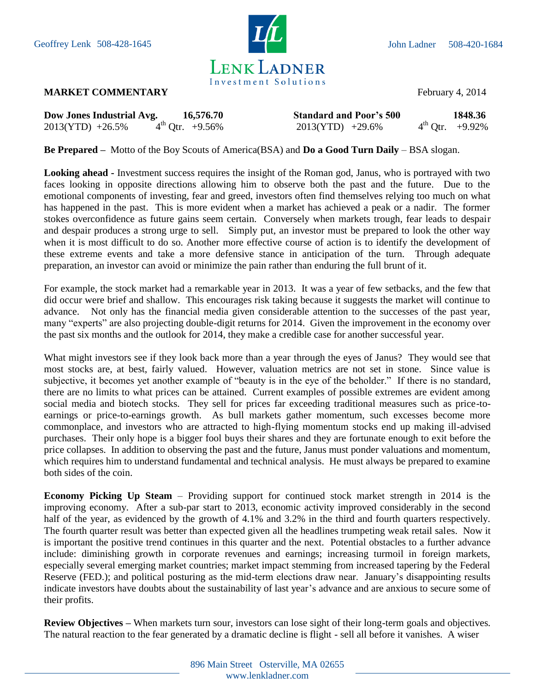

## **MARKET COMMENTARY** February 4, 2014

| Dow Jones Industrial Avg. | 16,576.70                      | <b>Standard and Poor's 500</b> | 1848.36              |
|---------------------------|--------------------------------|--------------------------------|----------------------|
| $2013(YTD) +26.5%$        | $4^{\text{th}}$ Qtr. $+9.56\%$ | $2013(YTD) +29.6\%$            | $4^{th}$ Otr. +9.92% |

**Be Prepared –** Motto of the Boy Scouts of America(BSA) and **Do a Good Turn Daily** – BSA slogan.

**Looking ahead -** Investment success requires the insight of the Roman god, Janus, who is portrayed with two faces looking in opposite directions allowing him to observe both the past and the future. Due to the emotional components of investing, fear and greed, investors often find themselves relying too much on what has happened in the past. This is more evident when a market has achieved a peak or a nadir. The former stokes overconfidence as future gains seem certain. Conversely when markets trough, fear leads to despair and despair produces a strong urge to sell. Simply put, an investor must be prepared to look the other way when it is most difficult to do so. Another more effective course of action is to identify the development of these extreme events and take a more defensive stance in anticipation of the turn. Through adequate preparation, an investor can avoid or minimize the pain rather than enduring the full brunt of it.

For example, the stock market had a remarkable year in 2013. It was a year of few setbacks, and the few that did occur were brief and shallow. This encourages risk taking because it suggests the market will continue to advance. Not only has the financial media given considerable attention to the successes of the past year, many "experts" are also projecting double-digit returns for 2014. Given the improvement in the economy over the past six months and the outlook for 2014, they make a credible case for another successful year.

What might investors see if they look back more than a year through the eyes of Janus? They would see that most stocks are, at best, fairly valued. However, valuation metrics are not set in stone. Since value is subjective, it becomes yet another example of "beauty is in the eye of the beholder." If there is no standard, there are no limits to what prices can be attained. Current examples of possible extremes are evident among social media and biotech stocks. They sell for prices far exceeding traditional measures such as price-toearnings or price-to-earnings growth. As bull markets gather momentum, such excesses become more commonplace, and investors who are attracted to high-flying momentum stocks end up making ill-advised purchases. Their only hope is a bigger fool buys their shares and they are fortunate enough to exit before the price collapses. In addition to observing the past and the future, Janus must ponder valuations and momentum, which requires him to understand fundamental and technical analysis. He must always be prepared to examine both sides of the coin.

**Economy Picking Up Steam** – Providing support for continued stock market strength in 2014 is the improving economy. After a sub-par start to 2013, economic activity improved considerably in the second half of the year, as evidenced by the growth of 4.1% and 3.2% in the third and fourth quarters respectively. The fourth quarter result was better than expected given all the headlines trumpeting weak retail sales. Now it is important the positive trend continues in this quarter and the next. Potential obstacles to a further advance include: diminishing growth in corporate revenues and earnings; increasing turmoil in foreign markets, especially several emerging market countries; market impact stemming from increased tapering by the Federal Reserve (FED.); and political posturing as the mid-term elections draw near. January's disappointing results indicate investors have doubts about the sustainability of last year's advance and are anxious to secure some of their profits.

**Review Objectives –** When markets turn sour, investors can lose sight of their long-term goals and objectives. The natural reaction to the fear generated by a dramatic decline is flight - sell all before it vanishes. A wiser